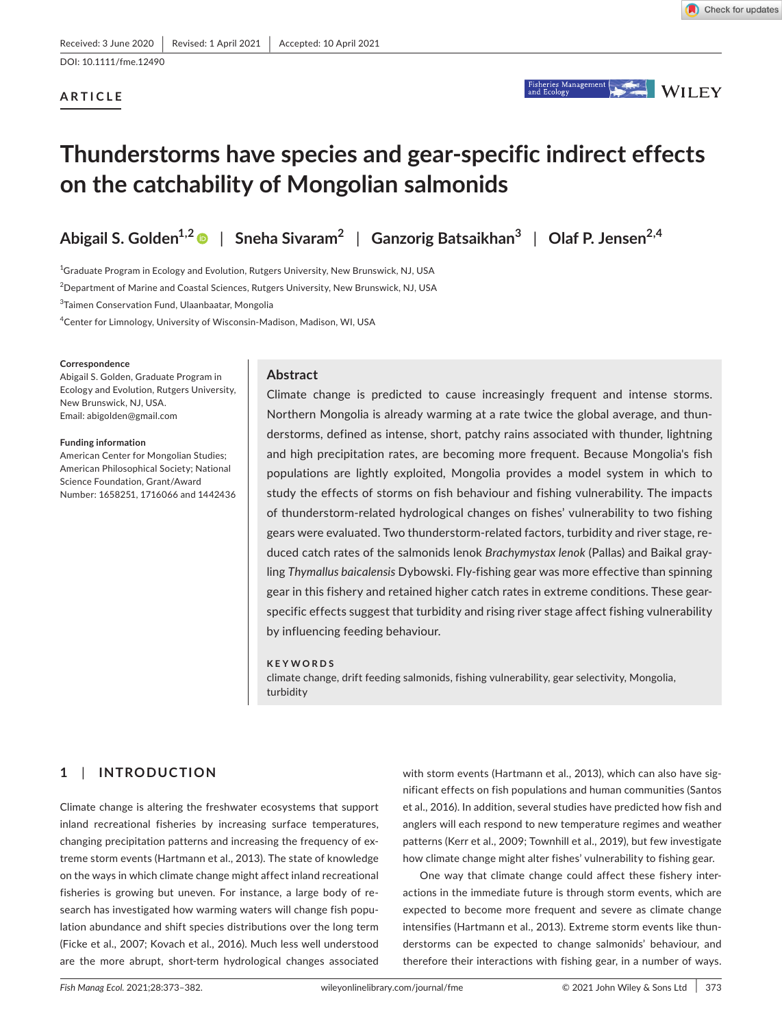# **ARTICLE**



# **Thunderstorms have species and gear-specific indirect effects on the catchability of Mongolian salmonids**

**Abigail S. Golden1,2** | **Sneha Sivaram<sup>2</sup>** | **Ganzorig Batsaikhan<sup>3</sup>** | **Olaf P. Jensen2,4**

 $^{\rm 1}$ Graduate Program in Ecology and Evolution, Rutgers University, New Brunswick, NJ, USA

 $^2$ Department of Marine and Coastal Sciences, Rutgers University, New Brunswick, NJ, USA

<sup>3</sup>Taimen Conservation Fund, Ulaanbaatar, Mongolia

4 Center for Limnology, University of Wisconsin-Madison, Madison, WI, USA

#### **Correspondence**

Abigail S. Golden, Graduate Program in Ecology and Evolution, Rutgers University, New Brunswick, NJ, USA. Email: [abigolden@gmail.com](mailto:abigolden@gmail.com)

**Funding information**

American Center for Mongolian Studies; American Philosophical Society; National Science Foundation, Grant/Award Number: 1658251, 1716066 and 1442436

## **Abstract**

Climate change is predicted to cause increasingly frequent and intense storms. Northern Mongolia is already warming at a rate twice the global average, and thunderstorms, defined as intense, short, patchy rains associated with thunder, lightning and high precipitation rates, are becoming more frequent. Because Mongolia's fish populations are lightly exploited, Mongolia provides a model system in which to study the effects of storms on fish behaviour and fishing vulnerability. The impacts of thunderstorm-related hydrological changes on fishes' vulnerability to two fishing gears were evaluated. Two thunderstorm-related factors, turbidity and river stage, reduced catch rates of the salmonids lenok *Brachymystax lenok* (Pallas) and Baikal grayling *Thymallus baicalensis* Dybowski. Fly-fishing gear was more effective than spinning gear in this fishery and retained higher catch rates in extreme conditions. These gearspecific effects suggest that turbidity and rising river stage affect fishing vulnerability by influencing feeding behaviour.

#### **KEYWORDS**

climate change, drift feeding salmonids, fishing vulnerability, gear selectivity, Mongolia, turbidity

# **1**  | **INTRODUCTION**

Climate change is altering the freshwater ecosystems that support inland recreational fisheries by increasing surface temperatures, changing precipitation patterns and increasing the frequency of extreme storm events (Hartmann et al., 2013). The state of knowledge on the ways in which climate change might affect inland recreational fisheries is growing but uneven. For instance, a large body of research has investigated how warming waters will change fish population abundance and shift species distributions over the long term (Ficke et al., 2007; Kovach et al., 2016). Much less well understood are the more abrupt, short-term hydrological changes associated with storm events (Hartmann et al., 2013), which can also have significant effects on fish populations and human communities (Santos et al., 2016). In addition, several studies have predicted how fish and anglers will each respond to new temperature regimes and weather patterns (Kerr et al., 2009; Townhill et al., 2019), but few investigate how climate change might alter fishes' vulnerability to fishing gear.

One way that climate change could affect these fishery interactions in the immediate future is through storm events, which are expected to become more frequent and severe as climate change intensifies (Hartmann et al., 2013). Extreme storm events like thunderstorms can be expected to change salmonids' behaviour, and therefore their interactions with fishing gear, in a number of ways.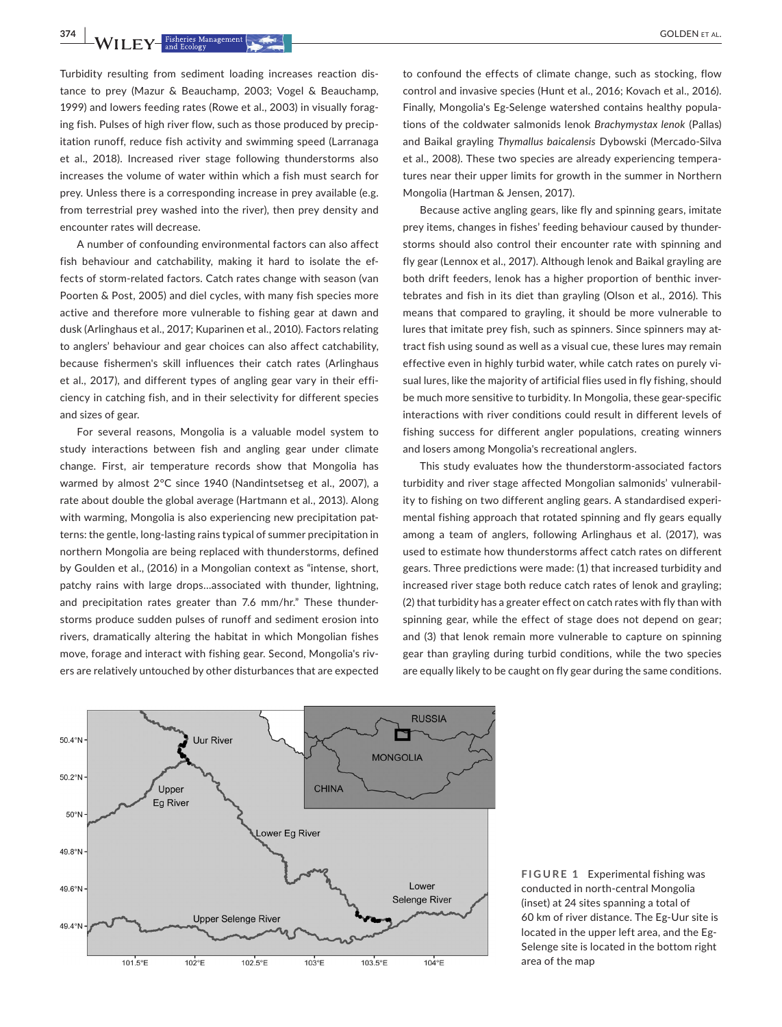**374 • ALIE EXAMPLE STATES Management (CALCER COLDEN ET AL. 60LDEN** ET AL.

Turbidity resulting from sediment loading increases reaction distance to prey (Mazur & Beauchamp, 2003; Vogel & Beauchamp, 1999) and lowers feeding rates (Rowe et al., 2003) in visually foraging fish. Pulses of high river flow, such as those produced by precipitation runoff, reduce fish activity and swimming speed (Larranaga et al., 2018). Increased river stage following thunderstorms also increases the volume of water within which a fish must search for prey. Unless there is a corresponding increase in prey available (e.g. from terrestrial prey washed into the river), then prey density and encounter rates will decrease.

A number of confounding environmental factors can also affect fish behaviour and catchability, making it hard to isolate the effects of storm-related factors. Catch rates change with season (van Poorten & Post, 2005) and diel cycles, with many fish species more active and therefore more vulnerable to fishing gear at dawn and dusk (Arlinghaus et al., 2017; Kuparinen et al., 2010). Factors relating to anglers' behaviour and gear choices can also affect catchability, because fishermen's skill influences their catch rates (Arlinghaus et al., 2017), and different types of angling gear vary in their efficiency in catching fish, and in their selectivity for different species and sizes of gear.

For several reasons, Mongolia is a valuable model system to study interactions between fish and angling gear under climate change. First, air temperature records show that Mongolia has warmed by almost 2°C since 1940 (Nandintsetseg et al., 2007), a rate about double the global average (Hartmann et al., 2013). Along with warming, Mongolia is also experiencing new precipitation patterns: the gentle, long-lasting rains typical of summer precipitation in northern Mongolia are being replaced with thunderstorms, defined by Goulden et al., (2016) in a Mongolian context as "intense, short, patchy rains with large drops…associated with thunder, lightning, and precipitation rates greater than 7.6 mm/hr." These thunderstorms produce sudden pulses of runoff and sediment erosion into rivers, dramatically altering the habitat in which Mongolian fishes move, forage and interact with fishing gear. Second, Mongolia's rivers are relatively untouched by other disturbances that are expected

to confound the effects of climate change, such as stocking, flow control and invasive species (Hunt et al., 2016; Kovach et al., 2016). Finally, Mongolia's Eg-Selenge watershed contains healthy populations of the coldwater salmonids lenok *Brachymystax lenok* (Pallas) and Baikal grayling *Thymallus baicalensis* Dybowski (Mercado-Silva et al., 2008). These two species are already experiencing temperatures near their upper limits for growth in the summer in Northern Mongolia (Hartman & Jensen, 2017).

Because active angling gears, like fly and spinning gears, imitate prey items, changes in fishes' feeding behaviour caused by thunderstorms should also control their encounter rate with spinning and fly gear (Lennox et al., 2017). Although lenok and Baikal grayling are both drift feeders, lenok has a higher proportion of benthic invertebrates and fish in its diet than grayling (Olson et al., 2016). This means that compared to grayling, it should be more vulnerable to lures that imitate prey fish, such as spinners. Since spinners may attract fish using sound as well as a visual cue, these lures may remain effective even in highly turbid water, while catch rates on purely visual lures, like the majority of artificial flies used in fly fishing, should be much more sensitive to turbidity. In Mongolia, these gear-specific interactions with river conditions could result in different levels of fishing success for different angler populations, creating winners and losers among Mongolia's recreational anglers.

This study evaluates how the thunderstorm-associated factors turbidity and river stage affected Mongolian salmonids' vulnerability to fishing on two different angling gears. A standardised experimental fishing approach that rotated spinning and fly gears equally among a team of anglers, following Arlinghaus et al. (2017), was used to estimate how thunderstorms affect catch rates on different gears. Three predictions were made: (1) that increased turbidity and increased river stage both reduce catch rates of lenok and grayling; (2) that turbidity has a greater effect on catch rates with fly than with spinning gear, while the effect of stage does not depend on gear; and (3) that lenok remain more vulnerable to capture on spinning gear than grayling during turbid conditions, while the two species are equally likely to be caught on fly gear during the same conditions.



**FIGURE 1** Experimental fishing was conducted in north-central Mongolia (inset) at 24 sites spanning a total of 60 km of river distance. The Eg-Uur site is located in the upper left area, and the Eg-Selenge site is located in the bottom right area of the map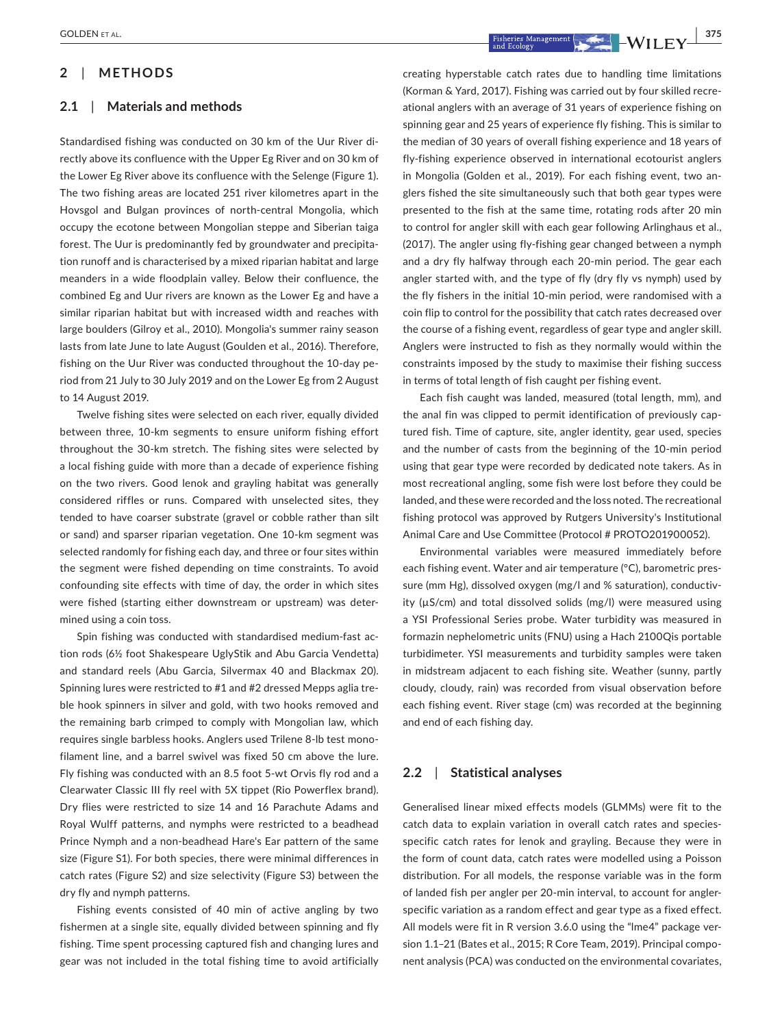## **2**  | **METHODS**

### **2.1**  | **Materials and methods**

Standardised fishing was conducted on 30 km of the Uur River directly above its confluence with the Upper Eg River and on 30 km of the Lower Eg River above its confluence with the Selenge (Figure 1). The two fishing areas are located 251 river kilometres apart in the Hovsgol and Bulgan provinces of north-central Mongolia, which occupy the ecotone between Mongolian steppe and Siberian taiga forest. The Uur is predominantly fed by groundwater and precipitation runoff and is characterised by a mixed riparian habitat and large meanders in a wide floodplain valley. Below their confluence, the combined Eg and Uur rivers are known as the Lower Eg and have a similar riparian habitat but with increased width and reaches with large boulders (Gilroy et al., 2010). Mongolia's summer rainy season lasts from late June to late August (Goulden et al., 2016). Therefore, fishing on the Uur River was conducted throughout the 10-day period from 21 July to 30 July 2019 and on the Lower Eg from 2 August to 14 August 2019.

Twelve fishing sites were selected on each river, equally divided between three, 10-km segments to ensure uniform fishing effort throughout the 30-km stretch. The fishing sites were selected by a local fishing guide with more than a decade of experience fishing on the two rivers. Good lenok and grayling habitat was generally considered riffles or runs. Compared with unselected sites, they tended to have coarser substrate (gravel or cobble rather than silt or sand) and sparser riparian vegetation. One 10-km segment was selected randomly for fishing each day, and three or four sites within the segment were fished depending on time constraints. To avoid confounding site effects with time of day, the order in which sites were fished (starting either downstream or upstream) was determined using a coin toss.

Spin fishing was conducted with standardised medium-fast action rods (6½ foot Shakespeare UglyStik and Abu Garcia Vendetta) and standard reels (Abu Garcia, Silvermax 40 and Blackmax 20). Spinning lures were restricted to #1 and #2 dressed Mepps aglia treble hook spinners in silver and gold, with two hooks removed and the remaining barb crimped to comply with Mongolian law, which requires single barbless hooks. Anglers used Trilene 8-lb test monofilament line, and a barrel swivel was fixed 50 cm above the lure. Fly fishing was conducted with an 8.5 foot 5-wt Orvis fly rod and a Clearwater Classic III fly reel with 5X tippet (Rio Powerflex brand). Dry flies were restricted to size 14 and 16 Parachute Adams and Royal Wulff patterns, and nymphs were restricted to a beadhead Prince Nymph and a non-beadhead Hare's Ear pattern of the same size (Figure S1). For both species, there were minimal differences in catch rates (Figure S2) and size selectivity (Figure S3) between the dry fly and nymph patterns.

Fishing events consisted of 40 min of active angling by two fishermen at a single site, equally divided between spinning and fly fishing. Time spent processing captured fish and changing lures and gear was not included in the total fishing time to avoid artificially

 **<u>GOLDEN ET AL.** 375<br>  $\frac{1}{2}$   $\frac{1}{2}$   $\frac{1}{2}$   $\frac{1}{2}$   $\frac{1}{2}$   $\frac{1}{2}$   $\frac{1}{2}$   $\frac{1}{2}$   $\frac{1}{2}$   $\frac{1}{2}$   $\frac{1}{2}$   $\frac{1}{2}$   $\frac{1}{2}$   $\frac{1}{2}$   $\frac{1}{2}$   $\frac{1}{2}$   $\frac{1}{2}$   $\frac{1}{2}$   $\frac{1}{2}$   $\frac{1}{$ 

creating hyperstable catch rates due to handling time limitations (Korman & Yard, 2017). Fishing was carried out by four skilled recreational anglers with an average of 31 years of experience fishing on spinning gear and 25 years of experience fly fishing. This is similar to the median of 30 years of overall fishing experience and 18 years of fly-fishing experience observed in international ecotourist anglers in Mongolia (Golden et al., 2019). For each fishing event, two anglers fished the site simultaneously such that both gear types were presented to the fish at the same time, rotating rods after 20 min to control for angler skill with each gear following Arlinghaus et al., (2017). The angler using fly-fishing gear changed between a nymph and a dry fly halfway through each 20-min period. The gear each angler started with, and the type of fly (dry fly vs nymph) used by the fly fishers in the initial 10-min period, were randomised with a coin flip to control for the possibility that catch rates decreased over the course of a fishing event, regardless of gear type and angler skill. Anglers were instructed to fish as they normally would within the constraints imposed by the study to maximise their fishing success in terms of total length of fish caught per fishing event.

Each fish caught was landed, measured (total length, mm), and the anal fin was clipped to permit identification of previously captured fish. Time of capture, site, angler identity, gear used, species and the number of casts from the beginning of the 10-min period using that gear type were recorded by dedicated note takers. As in most recreational angling, some fish were lost before they could be landed, and these were recorded and the loss noted. The recreational fishing protocol was approved by Rutgers University's Institutional Animal Care and Use Committee (Protocol # PROTO201900052).

Environmental variables were measured immediately before each fishing event. Water and air temperature (°C), barometric pressure (mm Hg), dissolved oxygen (mg/l and % saturation), conductivity (µS/cm) and total dissolved solids (mg/l) were measured using a YSI Professional Series probe. Water turbidity was measured in formazin nephelometric units (FNU) using a Hach 2100Qis portable turbidimeter. YSI measurements and turbidity samples were taken in midstream adjacent to each fishing site. Weather (sunny, partly cloudy, cloudy, rain) was recorded from visual observation before each fishing event. River stage (cm) was recorded at the beginning and end of each fishing day.

### **2.2**  | **Statistical analyses**

Generalised linear mixed effects models (GLMMs) were fit to the catch data to explain variation in overall catch rates and speciesspecific catch rates for lenok and grayling. Because they were in the form of count data, catch rates were modelled using a Poisson distribution. For all models, the response variable was in the form of landed fish per angler per 20-min interval, to account for anglerspecific variation as a random effect and gear type as a fixed effect. All models were fit in R version 3.6.0 using the "lme4" package version 1.1–21 (Bates et al., 2015; R Core Team, 2019). Principal component analysis (PCA) was conducted on the environmental covariates,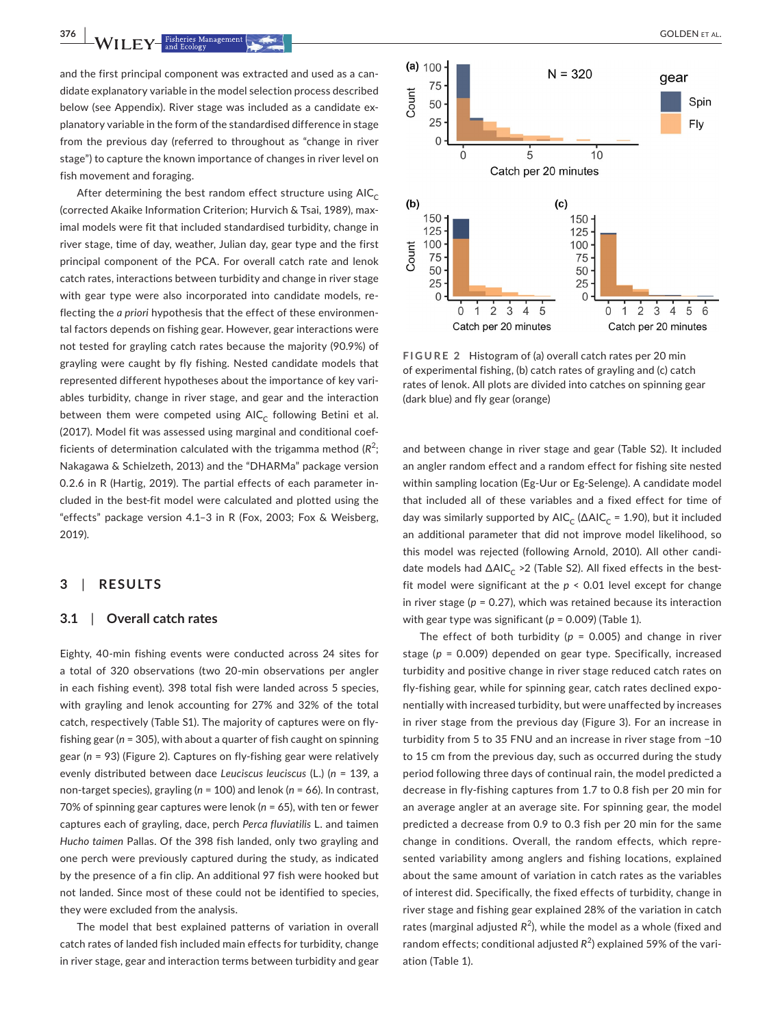**376 <sup>|</sup>**  GOLDEN et al.

and the first principal component was extracted and used as a candidate explanatory variable in the model selection process described below (see Appendix). River stage was included as a candidate explanatory variable in the form of the standardised difference in stage from the previous day (referred to throughout as "change in river stage") to capture the known importance of changes in river level on fish movement and foraging.

After determining the best random effect structure using  $AIC_C$ (corrected Akaike Information Criterion; Hurvich & Tsai, 1989), maximal models were fit that included standardised turbidity, change in river stage, time of day, weather, Julian day, gear type and the first principal component of the PCA. For overall catch rate and lenok catch rates, interactions between turbidity and change in river stage with gear type were also incorporated into candidate models, reflecting the *a priori* hypothesis that the effect of these environmental factors depends on fishing gear. However, gear interactions were not tested for grayling catch rates because the majority (90.9%) of grayling were caught by fly fishing. Nested candidate models that represented different hypotheses about the importance of key variables turbidity, change in river stage, and gear and the interaction between them were competed using  $AIC_c$  following Betini et al. (2017). Model fit was assessed using marginal and conditional coefficients of determination calculated with the trigamma method  $(R^2;$ Nakagawa & Schielzeth, 2013) and the "DHARMa" package version 0.2.6 in R (Hartig, 2019). The partial effects of each parameter included in the best-fit model were calculated and plotted using the "effects" package version 4.1–3 in R (Fox, 2003; Fox & Weisberg, 2019).

## **3**  | **RESULTS**

### **3.1**  | **Overall catch rates**

Eighty, 40-min fishing events were conducted across 24 sites for a total of 320 observations (two 20-min observations per angler in each fishing event). 398 total fish were landed across 5 species, with grayling and lenok accounting for 27% and 32% of the total catch, respectively (Table S1). The majority of captures were on flyfishing gear (*n* = 305), with about a quarter of fish caught on spinning gear (*n* = 93) (Figure 2). Captures on fly-fishing gear were relatively evenly distributed between dace *Leuciscus leuciscus* (L.) (*n* = 139, a non-target species), grayling (*n* = 100) and lenok (*n* = 66). In contrast, 70% of spinning gear captures were lenok (*n* = 65), with ten or fewer captures each of grayling, dace, perch *Perca fluviatilis* L. and taimen *Hucho taimen* Pallas. Of the 398 fish landed, only two grayling and one perch were previously captured during the study, as indicated by the presence of a fin clip. An additional 97 fish were hooked but not landed. Since most of these could not be identified to species, they were excluded from the analysis.

The model that best explained patterns of variation in overall catch rates of landed fish included main effects for turbidity, change in river stage, gear and interaction terms between turbidity and gear



**FIGURE 2** Histogram of (a) overall catch rates per 20 min of experimental fishing, (b) catch rates of grayling and (c) catch rates of lenok. All plots are divided into catches on spinning gear (dark blue) and fly gear (orange)

and between change in river stage and gear (Table S2). It included an angler random effect and a random effect for fishing site nested within sampling location (Eg-Uur or Eg-Selenge). A candidate model that included all of these variables and a fixed effect for time of day was similarly supported by AIC<sub>C</sub> ( $\Delta$ AIC<sub>C</sub> = 1.90), but it included an additional parameter that did not improve model likelihood, so this model was rejected (following Arnold, 2010). All other candidate models had ∆AIC<sub>C</sub> >2 (Table S2). All fixed effects in the bestfit model were significant at the *p* < 0.01 level except for change in river stage (*p* = 0.27), which was retained because its interaction with gear type was significant ( $p = 0.009$ ) (Table 1).

The effect of both turbidity (*p* = 0.005) and change in river stage (*p* = 0.009) depended on gear type. Specifically, increased turbidity and positive change in river stage reduced catch rates on fly-fishing gear, while for spinning gear, catch rates declined exponentially with increased turbidity, but were unaffected by increases in river stage from the previous day (Figure 3). For an increase in turbidity from 5 to 35 FNU and an increase in river stage from −10 to 15 cm from the previous day, such as occurred during the study period following three days of continual rain, the model predicted a decrease in fly-fishing captures from 1.7 to 0.8 fish per 20 min for an average angler at an average site. For spinning gear, the model predicted a decrease from 0.9 to 0.3 fish per 20 min for the same change in conditions. Overall, the random effects, which represented variability among anglers and fishing locations, explained about the same amount of variation in catch rates as the variables of interest did. Specifically, the fixed effects of turbidity, change in river stage and fishing gear explained 28% of the variation in catch rates (marginal adjusted  $R^2$ ), while the model as a whole (fixed and random effects; conditional adjusted R<sup>2</sup>) explained 59% of the variation (Table 1).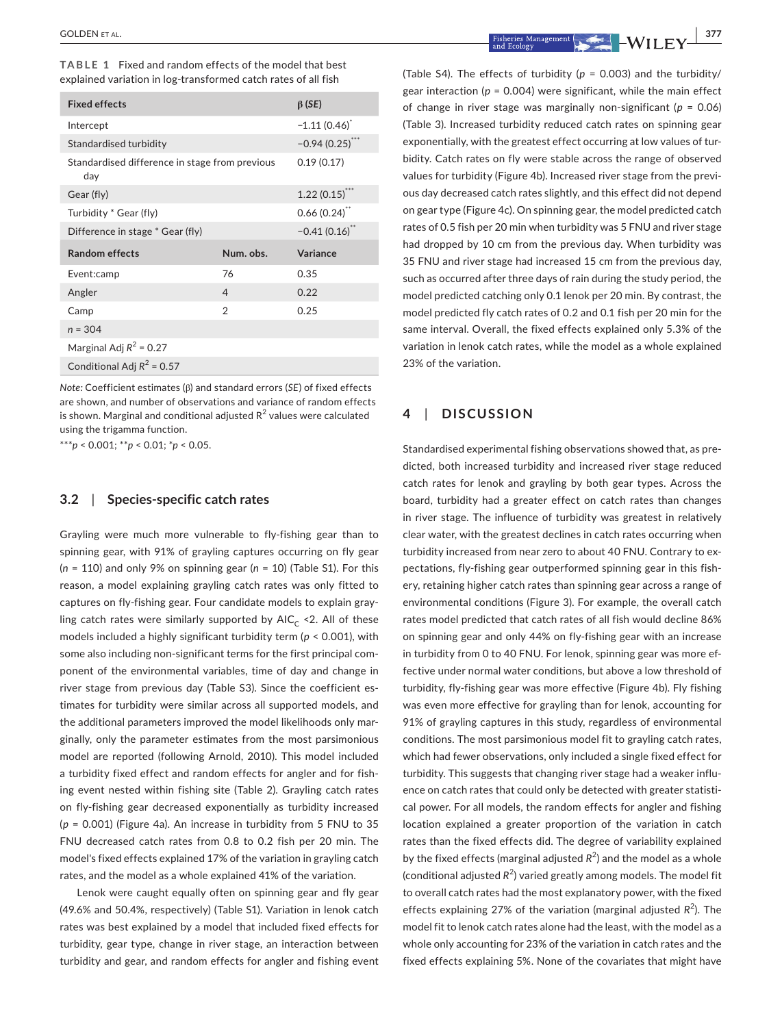| TABLE 1 Fixed and random effects of the model that best        |  |  |  |
|----------------------------------------------------------------|--|--|--|
| explained variation in log-transformed catch rates of all fish |  |  |  |

| <b>Fixed effects</b>                                  | $\beta$ (SE)    |          |  |  |  |
|-------------------------------------------------------|-----------------|----------|--|--|--|
| Intercept                                             | $-1.11(0.46)$   |          |  |  |  |
| Standardised turbidity                                | $-0.94(0.25)$ " |          |  |  |  |
| Standardised difference in stage from previous<br>day | 0.19(0.17)      |          |  |  |  |
| Gear (fly)                                            | 1.22(0.15)      |          |  |  |  |
| Turbidity * Gear (fly)                                | $0.66(0.24)$ ** |          |  |  |  |
| Difference in stage * Gear (fly)                      | $-0.41(0.16)$   |          |  |  |  |
| <b>Random effects</b>                                 | Num. obs.       | Variance |  |  |  |
| Event:camp                                            | 76              | 0.35     |  |  |  |
| Angler                                                | $\overline{4}$  | 0.22     |  |  |  |
| Camp                                                  | $\mathfrak{D}$  | 0.25     |  |  |  |
| $n = 304$                                             |                 |          |  |  |  |
| Marginal Adj $R^2$ = 0.27                             |                 |          |  |  |  |
| Conditional Adj $R^2$ = 0.57                          |                 |          |  |  |  |

*Note:* Coefficient estimates (β) and standard errors (*SE*) of fixed effects are shown, and number of observations and variance of random effects is shown. Marginal and conditional adjusted R $^2$  values were calculated using the trigamma function.

\*\*\**p* < 0.001; \*\**p* < 0.01; \**p* < 0.05.

#### **3.2**  | **Species-specific catch rates**

Grayling were much more vulnerable to fly-fishing gear than to spinning gear, with 91% of grayling captures occurring on fly gear (*n* = 110) and only 9% on spinning gear (*n* = 10) (Table S1). For this reason, a model explaining grayling catch rates was only fitted to captures on fly-fishing gear. Four candidate models to explain grayling catch rates were similarly supported by  $AIC_C \leq 2$ . All of these models included a highly significant turbidity term (*p* < 0.001), with some also including non-significant terms for the first principal component of the environmental variables, time of day and change in river stage from previous day (Table S3). Since the coefficient estimates for turbidity were similar across all supported models, and the additional parameters improved the model likelihoods only marginally, only the parameter estimates from the most parsimonious model are reported (following Arnold, 2010). This model included a turbidity fixed effect and random effects for angler and for fishing event nested within fishing site (Table 2). Grayling catch rates on fly-fishing gear decreased exponentially as turbidity increased (*p* = 0.001) (Figure 4a). An increase in turbidity from 5 FNU to 35 FNU decreased catch rates from 0.8 to 0.2 fish per 20 min. The model's fixed effects explained 17% of the variation in grayling catch rates, and the model as a whole explained 41% of the variation.

Lenok were caught equally often on spinning gear and fly gear (49.6% and 50.4%, respectively) (Table S1). Variation in lenok catch rates was best explained by a model that included fixed effects for turbidity, gear type, change in river stage, an interaction between turbidity and gear, and random effects for angler and fishing event

 **COLDEN** ET AL. *COLDEN* ET AL. *P* **1 EXECUTER EXECUTER EXECUTER EXECUTER EXECUTER EXECUTER EXECUTER EXECUTER EXECUTER EXECUTER EXECUTER EXECUTER EXECUTER EXECUTER EXECUTER EXECUTER**

(Table S4). The effects of turbidity (*p* = 0.003) and the turbidity/ gear interaction ( $p = 0.004$ ) were significant, while the main effect of change in river stage was marginally non-significant (*p* = 0.06) (Table 3). Increased turbidity reduced catch rates on spinning gear exponentially, with the greatest effect occurring at low values of turbidity. Catch rates on fly were stable across the range of observed values for turbidity (Figure 4b). Increased river stage from the previous day decreased catch rates slightly, and this effect did not depend on gear type (Figure 4c). On spinning gear, the model predicted catch rates of 0.5 fish per 20 min when turbidity was 5 FNU and river stage had dropped by 10 cm from the previous day. When turbidity was 35 FNU and river stage had increased 15 cm from the previous day, such as occurred after three days of rain during the study period, the model predicted catching only 0.1 lenok per 20 min. By contrast, the model predicted fly catch rates of 0.2 and 0.1 fish per 20 min for the same interval. Overall, the fixed effects explained only 5.3% of the variation in lenok catch rates, while the model as a whole explained 23% of the variation.

# **4**  | **DISCUSSION**

Standardised experimental fishing observations showed that, as predicted, both increased turbidity and increased river stage reduced catch rates for lenok and grayling by both gear types. Across the board, turbidity had a greater effect on catch rates than changes in river stage. The influence of turbidity was greatest in relatively clear water, with the greatest declines in catch rates occurring when turbidity increased from near zero to about 40 FNU. Contrary to expectations, fly-fishing gear outperformed spinning gear in this fishery, retaining higher catch rates than spinning gear across a range of environmental conditions (Figure 3). For example, the overall catch rates model predicted that catch rates of all fish would decline 86% on spinning gear and only 44% on fly-fishing gear with an increase in turbidity from 0 to 40 FNU. For lenok, spinning gear was more effective under normal water conditions, but above a low threshold of turbidity, fly-fishing gear was more effective (Figure 4b). Fly fishing was even more effective for grayling than for lenok, accounting for 91% of grayling captures in this study, regardless of environmental conditions. The most parsimonious model fit to grayling catch rates, which had fewer observations, only included a single fixed effect for turbidity. This suggests that changing river stage had a weaker influence on catch rates that could only be detected with greater statistical power. For all models, the random effects for angler and fishing location explained a greater proportion of the variation in catch rates than the fixed effects did. The degree of variability explained by the fixed effects (marginal adjusted  $R^2$ ) and the model as a whole (conditional adjusted R<sup>2</sup>) varied greatly among models. The model fit to overall catch rates had the most explanatory power, with the fixed effects explaining 27% of the variation (marginal adjusted  $R^2$ ). The model fit to lenok catch rates alone had the least, with the model as a whole only accounting for 23% of the variation in catch rates and the fixed effects explaining 5%. None of the covariates that might have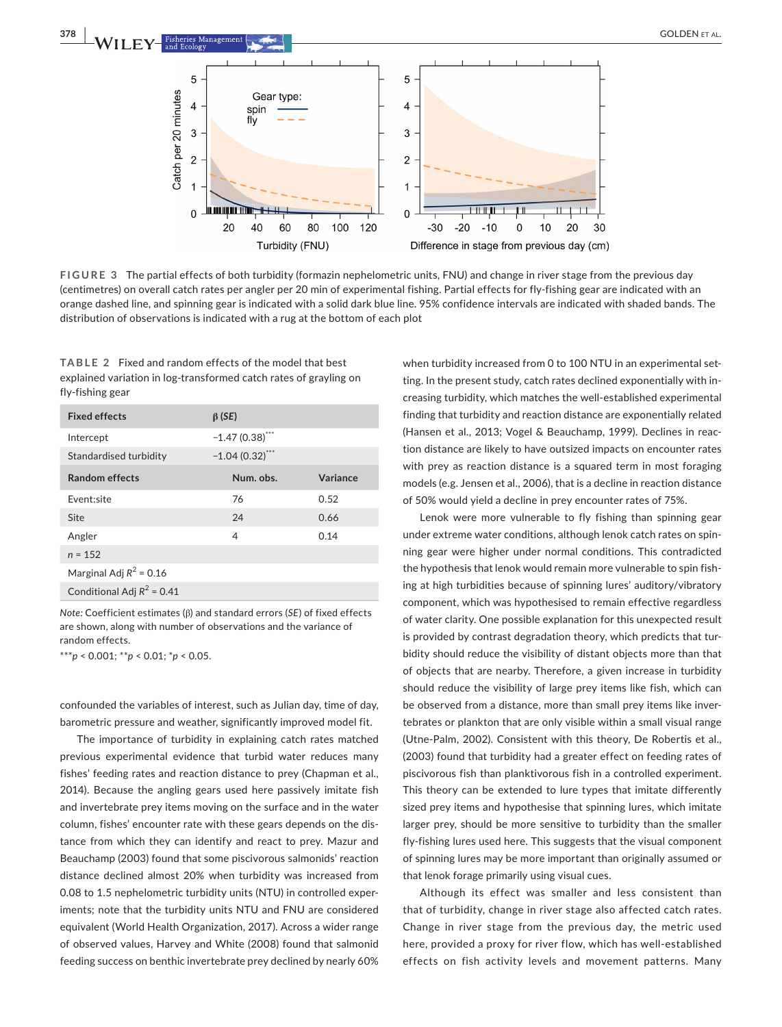

**FIGURE 3** The partial effects of both turbidity (formazin nephelometric units, FNU) and change in river stage from the previous day (centimetres) on overall catch rates per angler per 20 min of experimental fishing. Partial effects for fly-fishing gear are indicated with an orange dashed line, and spinning gear is indicated with a solid dark blue line. 95% confidence intervals are indicated with shaded bands. The distribution of observations is indicated with a rug at the bottom of each plot

**TABLE 2** Fixed and random effects of the model that best explained variation in log-transformed catch rates of grayling on fly-fishing gear

| <b>Fixed effects</b>         | $\beta$ (SE)      |          |
|------------------------------|-------------------|----------|
| Intercept                    | $-1.47(0.38)$ *** |          |
| Standardised turbidity       | $-1.04(0.32)$ *** |          |
| <b>Random effects</b>        | Num. obs.         | Variance |
| Fvent:site                   | 76                | 0.52     |
| Site                         | 24                | 0.66     |
| Angler                       | 4                 | 0.14     |
| $n = 152$                    |                   |          |
| Marginal Adj $R^2$ = 0.16    |                   |          |
| Conditional Adj $R^2$ = 0.41 |                   |          |

*Note:* Coefficient estimates (β) and standard errors (*SE*) of fixed effects are shown, along with number of observations and the variance of random effects.

\*\*\**p* < 0.001; \*\**p* < 0.01; \**p* < 0.05.

confounded the variables of interest, such as Julian day, time of day, barometric pressure and weather, significantly improved model fit.

The importance of turbidity in explaining catch rates matched previous experimental evidence that turbid water reduces many fishes' feeding rates and reaction distance to prey (Chapman et al., 2014). Because the angling gears used here passively imitate fish and invertebrate prey items moving on the surface and in the water column, fishes' encounter rate with these gears depends on the distance from which they can identify and react to prey. Mazur and Beauchamp (2003) found that some piscivorous salmonids' reaction distance declined almost 20% when turbidity was increased from 0.08 to 1.5 nephelometric turbidity units (NTU) in controlled experiments; note that the turbidity units NTU and FNU are considered equivalent (World Health Organization, 2017). Across a wider range of observed values, Harvey and White (2008) found that salmonid feeding success on benthic invertebrate prey declined by nearly 60%

when turbidity increased from 0 to 100 NTU in an experimental setting. In the present study, catch rates declined exponentially with increasing turbidity, which matches the well-established experimental finding that turbidity and reaction distance are exponentially related (Hansen et al., 2013; Vogel & Beauchamp, 1999). Declines in reaction distance are likely to have outsized impacts on encounter rates with prey as reaction distance is a squared term in most foraging models (e.g. Jensen et al., 2006), that is a decline in reaction distance of 50% would yield a decline in prey encounter rates of 75%.

Lenok were more vulnerable to fly fishing than spinning gear under extreme water conditions, although lenok catch rates on spinning gear were higher under normal conditions. This contradicted the hypothesis that lenok would remain more vulnerable to spin fishing at high turbidities because of spinning lures' auditory/vibratory component, which was hypothesised to remain effective regardless of water clarity. One possible explanation for this unexpected result is provided by contrast degradation theory, which predicts that turbidity should reduce the visibility of distant objects more than that of objects that are nearby. Therefore, a given increase in turbidity should reduce the visibility of large prey items like fish, which can be observed from a distance, more than small prey items like invertebrates or plankton that are only visible within a small visual range (Utne-Palm, 2002). Consistent with this theory, De Robertis et al., (2003) found that turbidity had a greater effect on feeding rates of piscivorous fish than planktivorous fish in a controlled experiment. This theory can be extended to lure types that imitate differently sized prey items and hypothesise that spinning lures, which imitate larger prey, should be more sensitive to turbidity than the smaller fly-fishing lures used here. This suggests that the visual component of spinning lures may be more important than originally assumed or that lenok forage primarily using visual cues.

Although its effect was smaller and less consistent than that of turbidity, change in river stage also affected catch rates. Change in river stage from the previous day, the metric used here, provided a proxy for river flow, which has well-established effects on fish activity levels and movement patterns. Many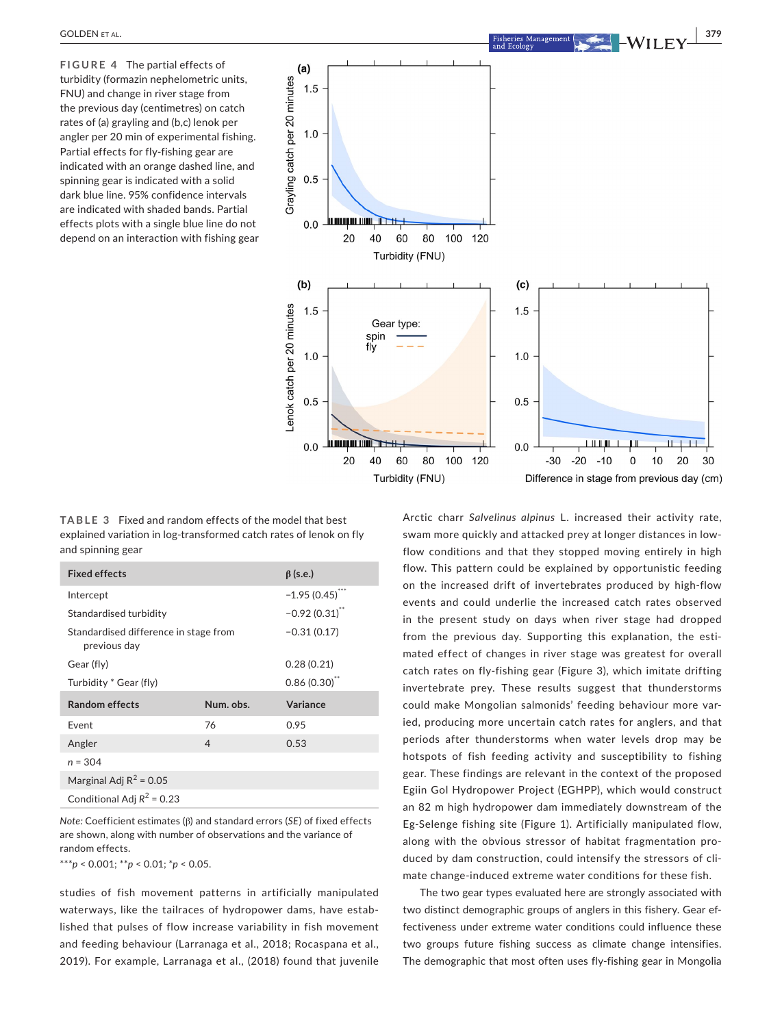**FIGURE 4** The partial effects of turbidity (formazin nephelometric units, FNU) and change in river stage from the previous day (centimetres) on catch rates of (a) grayling and (b,c) lenok per angler per 20 min of experimental fishing. Partial effects for fly-fishing gear are indicated with an orange dashed line, and spinning gear is indicated with a solid dark blue line. 95% confidence intervals are indicated with shaded bands. Partial effects plots with a single blue line do not depend on an interaction with fishing gear



**TABLE 3** Fixed and random effects of the model that best explained variation in log-transformed catch rates of lenok on fly and spinning gear

| <b>Fixed effects</b>                                  | $\beta$ (s.e.)   |          |  |  |
|-------------------------------------------------------|------------------|----------|--|--|
| Intercept                                             | $-1.95(0.45)$    |          |  |  |
| Standardised turbidity                                | $-0.92(0.31)$ ** |          |  |  |
| Standardised difference in stage from<br>previous day | $-0.31(0.17)$    |          |  |  |
| Gear (fly)                                            | 0.28(0.21)       |          |  |  |
| Turbidity * Gear (fly)                                | 0.86(0.30)       |          |  |  |
| <b>Random effects</b>                                 | Num. obs.        | Variance |  |  |
| Fvent                                                 | 76               | 0.95     |  |  |
| Angler                                                | $\overline{4}$   | 0.53     |  |  |
| $n = 304$                                             |                  |          |  |  |
| Marginal Adj $R^2$ = 0.05                             |                  |          |  |  |
| Conditional Adj $R^2$ = 0.23                          |                  |          |  |  |

*Note:* Coefficient estimates (β) and standard errors (*SE*) of fixed effects are shown, along with number of observations and the variance of random effects.

\*\*\**p* < 0.001; \*\**p* < 0.01; \**p* < 0.05.

studies of fish movement patterns in artificially manipulated waterways, like the tailraces of hydropower dams, have established that pulses of flow increase variability in fish movement and feeding behaviour (Larranaga et al., 2018; Rocaspana et al., 2019). For example, Larranaga et al., (2018) found that juvenile Arctic charr *Salvelinus alpinus* L. increased their activity rate, swam more quickly and attacked prey at longer distances in lowflow conditions and that they stopped moving entirely in high flow. This pattern could be explained by opportunistic feeding on the increased drift of invertebrates produced by high-flow events and could underlie the increased catch rates observed in the present study on days when river stage had dropped from the previous day. Supporting this explanation, the estimated effect of changes in river stage was greatest for overall catch rates on fly-fishing gear (Figure 3), which imitate drifting invertebrate prey. These results suggest that thunderstorms could make Mongolian salmonids' feeding behaviour more varied, producing more uncertain catch rates for anglers, and that periods after thunderstorms when water levels drop may be hotspots of fish feeding activity and susceptibility to fishing gear. These findings are relevant in the context of the proposed Egiin Gol Hydropower Project (EGHPP), which would construct an 82 m high hydropower dam immediately downstream of the Eg-Selenge fishing site (Figure 1). Artificially manipulated flow, along with the obvious stressor of habitat fragmentation produced by dam construction, could intensify the stressors of climate change-induced extreme water conditions for these fish.

The two gear types evaluated here are strongly associated with two distinct demographic groups of anglers in this fishery. Gear effectiveness under extreme water conditions could influence these two groups future fishing success as climate change intensifies. The demographic that most often uses fly-fishing gear in Mongolia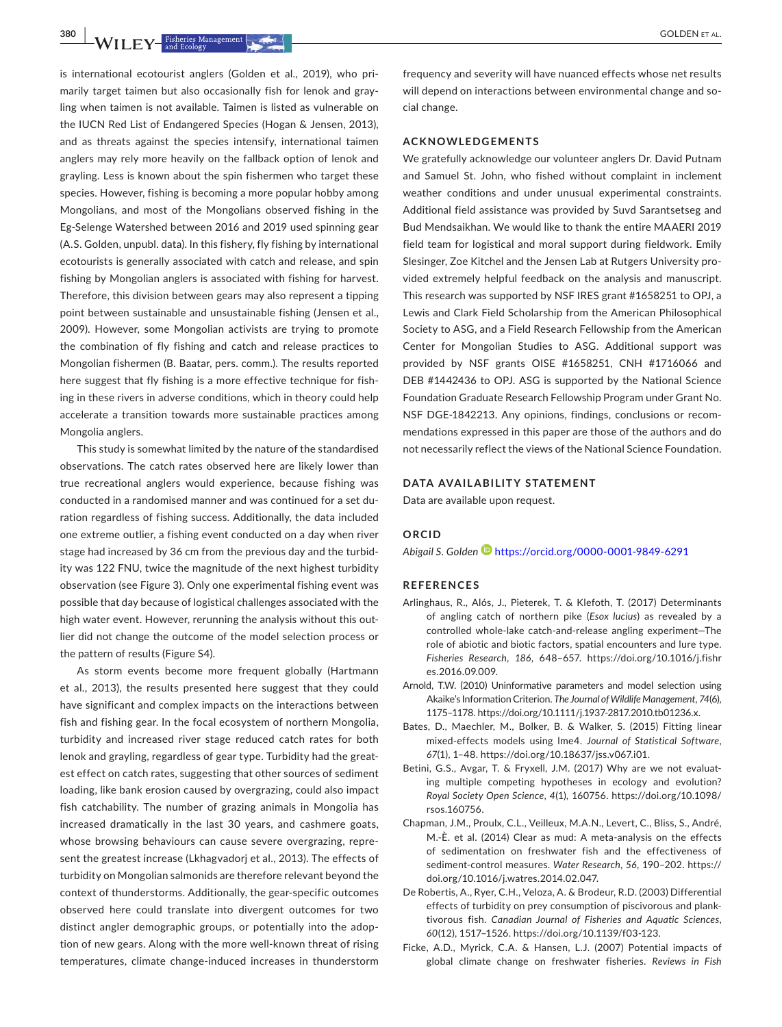is international ecotourist anglers (Golden et al., 2019), who primarily target taimen but also occasionally fish for lenok and grayling when taimen is not available. Taimen is listed as vulnerable on the IUCN Red List of Endangered Species (Hogan & Jensen, 2013), and as threats against the species intensify, international taimen anglers may rely more heavily on the fallback option of lenok and grayling. Less is known about the spin fishermen who target these species. However, fishing is becoming a more popular hobby among Mongolians, and most of the Mongolians observed fishing in the Eg-Selenge Watershed between 2016 and 2019 used spinning gear (A.S. Golden, unpubl. data). In this fishery, fly fishing by international ecotourists is generally associated with catch and release, and spin fishing by Mongolian anglers is associated with fishing for harvest. Therefore, this division between gears may also represent a tipping point between sustainable and unsustainable fishing (Jensen et al., 2009). However, some Mongolian activists are trying to promote the combination of fly fishing and catch and release practices to Mongolian fishermen (B. Baatar, pers. comm.). The results reported here suggest that fly fishing is a more effective technique for fishing in these rivers in adverse conditions, which in theory could help accelerate a transition towards more sustainable practices among Mongolia anglers.

This study is somewhat limited by the nature of the standardised observations. The catch rates observed here are likely lower than true recreational anglers would experience, because fishing was conducted in a randomised manner and was continued for a set duration regardless of fishing success. Additionally, the data included one extreme outlier, a fishing event conducted on a day when river stage had increased by 36 cm from the previous day and the turbidity was 122 FNU, twice the magnitude of the next highest turbidity observation (see Figure 3). Only one experimental fishing event was possible that day because of logistical challenges associated with the high water event. However, rerunning the analysis without this outlier did not change the outcome of the model selection process or the pattern of results (Figure S4).

As storm events become more frequent globally (Hartmann et al., 2013), the results presented here suggest that they could have significant and complex impacts on the interactions between fish and fishing gear. In the focal ecosystem of northern Mongolia, turbidity and increased river stage reduced catch rates for both lenok and grayling, regardless of gear type. Turbidity had the greatest effect on catch rates, suggesting that other sources of sediment loading, like bank erosion caused by overgrazing, could also impact fish catchability. The number of grazing animals in Mongolia has increased dramatically in the last 30 years, and cashmere goats, whose browsing behaviours can cause severe overgrazing, represent the greatest increase (Lkhagvadorj et al., 2013). The effects of turbidity on Mongolian salmonids are therefore relevant beyond the context of thunderstorms. Additionally, the gear-specific outcomes observed here could translate into divergent outcomes for two distinct angler demographic groups, or potentially into the adoption of new gears. Along with the more well-known threat of rising temperatures, climate change-induced increases in thunderstorm

frequency and severity will have nuanced effects whose net results will depend on interactions between environmental change and social change.

#### **ACKNOWLEDGEMENTS**

We gratefully acknowledge our volunteer anglers Dr. David Putnam and Samuel St. John, who fished without complaint in inclement weather conditions and under unusual experimental constraints. Additional field assistance was provided by Suvd Sarantsetseg and Bud Mendsaikhan. We would like to thank the entire MAAERI 2019 field team for logistical and moral support during fieldwork. Emily Slesinger, Zoe Kitchel and the Jensen Lab at Rutgers University provided extremely helpful feedback on the analysis and manuscript. This research was supported by NSF IRES grant #1658251 to OPJ, a Lewis and Clark Field Scholarship from the American Philosophical Society to ASG, and a Field Research Fellowship from the American Center for Mongolian Studies to ASG. Additional support was provided by NSF grants OISE #1658251, CNH #1716066 and DEB #1442436 to OPJ. ASG is supported by the National Science Foundation Graduate Research Fellowship Program under Grant No. NSF DGE-1842213. Any opinions, findings, conclusions or recommendations expressed in this paper are those of the authors and do not necessarily reflect the views of the National Science Foundation.

#### **DATA AVAILABILITY STATEMENT**

Data are available upon request.

#### **ORCID**

*Abigail S. Golde[n](https://orcid.org/0000-0001-9849-6291)* <https://orcid.org/0000-0001-9849-6291>

#### **REFERENCES**

- Arlinghaus, R., Alós, J., Pieterek, T. & Klefoth, T. (2017) Determinants of angling catch of northern pike (*Esox lucius*) as revealed by a controlled whole-lake catch-and-release angling experiment—The role of abiotic and biotic factors, spatial encounters and lure type. *Fisheries Research*, *186*, 648–657. [https://doi.org/10.1016/j.fishr](https://doi.org/10.1016/j.fishres.2016.09.009) [es.2016.09.009](https://doi.org/10.1016/j.fishres.2016.09.009).
- Arnold, T.W. (2010) Uninformative parameters and model selection using Akaike's Information Criterion. *The Journal of Wildlife Management*, *74*(6), 1175–1178. [https://doi.org/10.1111/j.1937-2817.2010.tb01236.x.](https://doi.org/10.1111/j.1937-2817.2010.tb01236.x)
- Bates, D., Maechler, M., Bolker, B. & Walker, S. (2015) Fitting linear mixed-effects models using lme4. *Journal of Statistical Software*, *67*(1), 1–48.<https://doi.org/10.18637/jss.v067.i01>.
- Betini, G.S., Avgar, T. & Fryxell, J.M. (2017) Why are we not evaluating multiple competing hypotheses in ecology and evolution? *Royal Society Open Science*, *4*(1), 160756. [https://doi.org/10.1098/](https://doi.org/10.1098/rsos.160756) [rsos.160756.](https://doi.org/10.1098/rsos.160756)
- Chapman, J.M., Proulx, C.L., Veilleux, M.A.N., Levert, C., Bliss, S., André, M.-È. et al. (2014) Clear as mud: A meta-analysis on the effects of sedimentation on freshwater fish and the effectiveness of sediment-control measures. *Water Research*, *56*, 190–202. [https://](https://doi.org/10.1016/j.watres.2014.02.047) [doi.org/10.1016/j.watres.2014.02.047](https://doi.org/10.1016/j.watres.2014.02.047).
- De Robertis, A., Ryer, C.H., Veloza, A. & Brodeur, R.D. (2003) Differential effects of turbidity on prey consumption of piscivorous and planktivorous fish. *Canadian Journal of Fisheries and Aquatic Sciences*, *60*(12), 1517–1526. [https://doi.org/10.1139/f03-123.](https://doi.org/10.1139/f03-123)
- Ficke, A.D., Myrick, C.A. & Hansen, L.J. (2007) Potential impacts of global climate change on freshwater fisheries. *Reviews in Fish*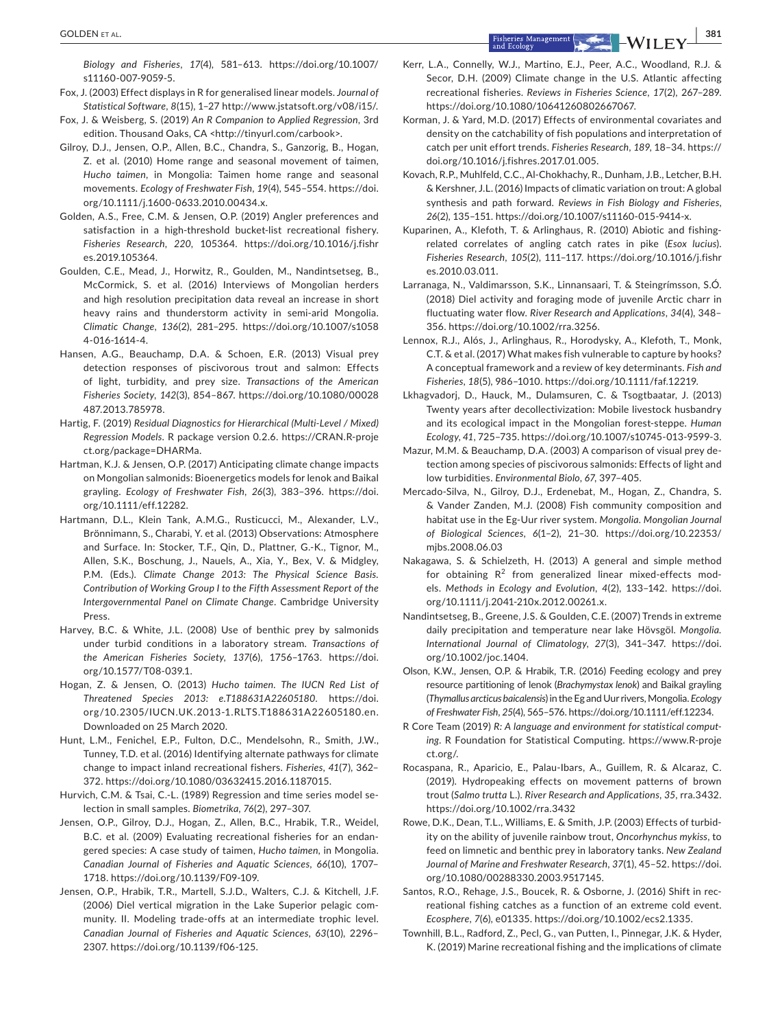*Biology and Fisheries*, *17*(4), 581–613. [https://doi.org/10.1007/](https://doi.org/10.1007/s11160-007-9059-5) [s11160-007-9059-5.](https://doi.org/10.1007/s11160-007-9059-5)

- Fox, J. (2003) Effect displays in R for generalised linear models. *Journal of Statistical Software*, *8*(15), 1–27<http://www.jstatsoft.org/v08/i15/>.
- Fox, J. & Weisberg, S. (2019) *An R Companion to Applied Regression*, 3rd edition. Thousand Oaks, CA [<http://tinyurl.com/carbook](http://tinyurl.com/carbook)>.
- Gilroy, D.J., Jensen, O.P., Allen, B.C., Chandra, S., Ganzorig, B., Hogan, Z. et al. (2010) Home range and seasonal movement of taimen, *Hucho taimen*, in Mongolia: Taimen home range and seasonal movements. *Ecology of Freshwater Fish*, *19*(4), 545–554. [https://doi.](https://doi.org/10.1111/j.1600-0633.2010.00434.x) [org/10.1111/j.1600-0633.2010.00434.x](https://doi.org/10.1111/j.1600-0633.2010.00434.x).
- Golden, A.S., Free, C.M. & Jensen, O.P. (2019) Angler preferences and satisfaction in a high-threshold bucket-list recreational fishery. *Fisheries Research*, *220*, 105364. [https://doi.org/10.1016/j.fishr](https://doi.org/10.1016/j.fishres.2019.105364) [es.2019.105364](https://doi.org/10.1016/j.fishres.2019.105364).
- Goulden, C.E., Mead, J., Horwitz, R., Goulden, M., Nandintsetseg, B., McCormick, S. et al. (2016) Interviews of Mongolian herders and high resolution precipitation data reveal an increase in short heavy rains and thunderstorm activity in semi-arid Mongolia. *Climatic Change*, *136*(2), 281–295. [https://doi.org/10.1007/s1058](https://doi.org/10.1007/s10584-016-1614-4) [4-016-1614-4](https://doi.org/10.1007/s10584-016-1614-4).
- Hansen, A.G., Beauchamp, D.A. & Schoen, E.R. (2013) Visual prey detection responses of piscivorous trout and salmon: Effects of light, turbidity, and prey size. *Transactions of the American Fisheries Society*, *142*(3), 854–867. [https://doi.org/10.1080/00028](https://doi.org/10.1080/00028487.2013.785978) [487.2013.785978.](https://doi.org/10.1080/00028487.2013.785978)
- Hartig, F. (2019) *Residual Diagnostics for Hierarchical (Multi-Level / Mixed) Regression Models*. R package version 0.2.6. [https://CRAN.R-proje](https://CRAN.R-project.org/package=DHARMa) [ct.org/package=DHARMa.](https://CRAN.R-project.org/package=DHARMa)
- Hartman, K.J. & Jensen, O.P. (2017) Anticipating climate change impacts on Mongolian salmonids: Bioenergetics models for lenok and Baikal grayling. *Ecology of Freshwater Fish*, *26*(3), 383–396. [https://doi.](https://doi.org/10.1111/eff.12282) [org/10.1111/eff.12282.](https://doi.org/10.1111/eff.12282)
- Hartmann, D.L., Klein Tank, A.M.G., Rusticucci, M., Alexander, L.V., Brönnimann, S., Charabi, Y. et al. (2013) Observations: Atmosphere and Surface. In: Stocker, T.F., Qin, D., Plattner, G.-K., Tignor, M., Allen, S.K., Boschung, J., Nauels, A., Xia, Y., Bex, V. & Midgley, P.M. (Eds.). *Climate Change 2013: The Physical Science Basis. Contribution of Working Group I to the Fifth Assessment Report of the Intergovernmental Panel on Climate Change*. Cambridge University Press.
- Harvey, B.C. & White, J.L. (2008) Use of benthic prey by salmonids under turbid conditions in a laboratory stream. *Transactions of the American Fisheries Society*, *137*(6), 1756–1763. [https://doi.](https://doi.org/10.1577/T08-039.1) [org/10.1577/T08-039.1.](https://doi.org/10.1577/T08-039.1)
- Hogan, Z. & Jensen, O. (2013) *Hucho taimen. The IUCN Red List of Threatened Species 2013: e.T188631A22605180*. [https://doi.](https://doi.org/10.2305/IUCN.UK.2013-1.RLTS.T188631A22605180.en) [org/10.2305/IUCN.UK.2013-1.RLTS.T188631A22605180.en.](https://doi.org/10.2305/IUCN.UK.2013-1.RLTS.T188631A22605180.en) Downloaded on 25 March 2020.
- Hunt, L.M., Fenichel, E.P., Fulton, D.C., Mendelsohn, R., Smith, J.W., Tunney, T.D. et al. (2016) Identifying alternate pathways for climate change to impact inland recreational fishers. *Fisheries*, *41*(7), 362– 372. [https://doi.org/10.1080/03632415.2016.1187015.](https://doi.org/10.1080/03632415.2016.1187015)
- Hurvich, C.M. & Tsai, C.-L. (1989) Regression and time series model selection in small samples. *Biometrika*, *76*(2), 297–307.
- Jensen, O.P., Gilroy, D.J., Hogan, Z., Allen, B.C., Hrabik, T.R., Weidel, B.C. et al. (2009) Evaluating recreational fisheries for an endangered species: A case study of taimen, *Hucho taimen*, in Mongolia. *Canadian Journal of Fisheries and Aquatic Sciences*, *66*(10), 1707– 1718. [https://doi.org/10.1139/F09-109.](https://doi.org/10.1139/F09-109)
- Jensen, O.P., Hrabik, T.R., Martell, S.J.D., Walters, C.J. & Kitchell, J.F. (2006) Diel vertical migration in the Lake Superior pelagic community. II. Modeling trade-offs at an intermediate trophic level. *Canadian Journal of Fisheries and Aquatic Sciences*, *63*(10), 2296– 2307. [https://doi.org/10.1139/f06-125.](https://doi.org/10.1139/f06-125)
- Kerr, L.A., Connelly, W.J., Martino, E.J., Peer, A.C., Woodland, R.J. & Secor, D.H. (2009) Climate change in the U.S. Atlantic affecting recreational fisheries. *Reviews in Fisheries Science*, *17*(2), 267–289. [https://doi.org/10.1080/10641260802667067.](https://doi.org/10.1080/10641260802667067)
- Korman, J. & Yard, M.D. (2017) Effects of environmental covariates and density on the catchability of fish populations and interpretation of catch per unit effort trends. *Fisheries Research*, *189*, 18–34. [https://](https://doi.org/10.1016/j.fishres.2017.01.005) [doi.org/10.1016/j.fishres.2017.01.005](https://doi.org/10.1016/j.fishres.2017.01.005).
- Kovach, R.P., Muhlfeld, C.C., Al-Chokhachy, R., Dunham, J.B., Letcher, B.H. & Kershner, J.L. (2016) Impacts of climatic variation on trout: A global synthesis and path forward. *Reviews in Fish Biology and Fisheries*, *26*(2), 135–151. <https://doi.org/10.1007/s11160-015-9414-x>.
- Kuparinen, A., Klefoth, T. & Arlinghaus, R. (2010) Abiotic and fishingrelated correlates of angling catch rates in pike (*Esox lucius*). *Fisheries Research*, *105*(2), 111–117. [https://doi.org/10.1016/j.fishr](https://doi.org/10.1016/j.fishres.2010.03.011) [es.2010.03.011.](https://doi.org/10.1016/j.fishres.2010.03.011)
- Larranaga, N., Valdimarsson, S.K., Linnansaari, T. & Steingrímsson, S.Ó. (2018) Diel activity and foraging mode of juvenile Arctic charr in fluctuating water flow. *River Research and Applications*, *34*(4), 348– 356. <https://doi.org/10.1002/rra.3256>.
- Lennox, R.J., Alós, J., Arlinghaus, R., Horodysky, A., Klefoth, T., Monk, C.T. & et al. (2017) What makes fish vulnerable to capture by hooks? A conceptual framework and a review of key determinants. *Fish and Fisheries*, *18*(5), 986–1010.<https://doi.org/10.1111/faf.12219>.
- Lkhagvadorj, D., Hauck, M., Dulamsuren, C. & Tsogtbaatar, J. (2013) Twenty years after decollectivization: Mobile livestock husbandry and its ecological impact in the Mongolian forest-steppe. *Human Ecology*, *41*, 725–735. [https://doi.org/10.1007/s10745-013-9599-3.](https://doi.org/10.1007/s10745-013-9599-3)
- Mazur, M.M. & Beauchamp, D.A. (2003) A comparison of visual prey detection among species of piscivorous salmonids: Effects of light and low turbidities. *Environmental Biolo*, *67*, 397–405.
- Mercado-Silva, N., Gilroy, D.J., Erdenebat, M., Hogan, Z., Chandra, S. & Vander Zanden, M.J. (2008) Fish community composition and habitat use in the Eg-Uur river system. *Mongolia. Mongolian Journal of Biological Sciences*, *6*(1–2), 21–30. [https://doi.org/10.22353/](https://doi.org/10.22353/mjbs.2008.06.03) [mjbs.2008.06.03](https://doi.org/10.22353/mjbs.2008.06.03)
- Nakagawa, S. & Schielzeth, H. (2013) A general and simple method for obtaining  $R^2$  from generalized linear mixed-effects models. *Methods in Ecology and Evolution*, *4*(2), 133–142. [https://doi.](https://doi.org/10.1111/j.2041-210x.2012.00261.x) [org/10.1111/j.2041-210x.2012.00261.x](https://doi.org/10.1111/j.2041-210x.2012.00261.x).
- Nandintsetseg, B., Greene, J.S. & Goulden, C.E. (2007) Trends in extreme daily precipitation and temperature near lake Hövsgöl. *Mongolia. International Journal of Climatology*, *27*(3), 341–347. [https://doi.](https://doi.org/10.1002/joc.1404) [org/10.1002/joc.1404.](https://doi.org/10.1002/joc.1404)
- Olson, K.W., Jensen, O.P. & Hrabik, T.R. (2016) Feeding ecology and prey resource partitioning of lenok (*Brachymystax lenok*) and Baikal grayling (*Thymallus arcticus baicalensis*) in the Eg and Uur rivers, Mongolia. *Ecology of Freshwater Fish*, *25*(4), 565–576.<https://doi.org/10.1111/eff.12234>.
- R Core Team (2019) *R: A language and environment for statistical computing*. R Foundation for Statistical Computing. [https://www.R-proje](https://www.R-project.org/) [ct.org/](https://www.R-project.org/).
- Rocaspana, R., Aparicio, E., Palau-Ibars, A., Guillem, R. & Alcaraz, C. (2019). Hydropeaking effects on movement patterns of brown trout (*Salmo trutta* L.). *River Research and Applications*, *35*, rra.3432. <https://doi.org/10.1002/rra.3432>
- Rowe, D.K., Dean, T.L., Williams, E. & Smith, J.P. (2003) Effects of turbidity on the ability of juvenile rainbow trout, *Oncorhynchus mykiss*, to feed on limnetic and benthic prey in laboratory tanks. *New Zealand Journal of Marine and Freshwater Research*, *37*(1), 45–52. [https://doi.](https://doi.org/10.1080/00288330.2003.9517145) [org/10.1080/00288330.2003.9517145](https://doi.org/10.1080/00288330.2003.9517145).
- Santos, R.O., Rehage, J.S., Boucek, R. & Osborne, J. (2016) Shift in recreational fishing catches as a function of an extreme cold event. *Ecosphere*, *7*(6), e01335.<https://doi.org/10.1002/ecs2.1335>.
- Townhill, B.L., Radford, Z., Pecl, G., van Putten, I., Pinnegar, J.K. & Hyder, K. (2019) Marine recreational fishing and the implications of climate